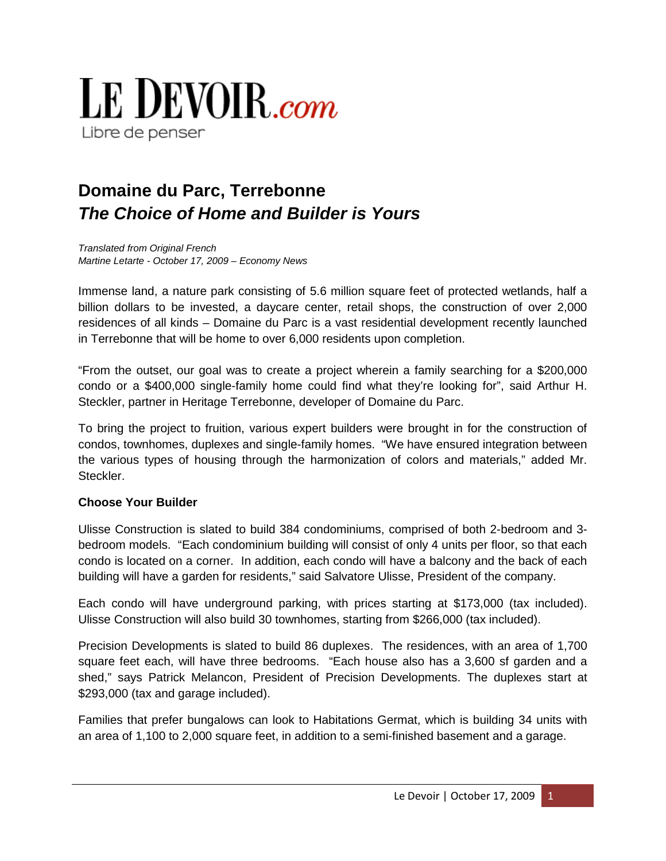

# **Domaine du Parc, Terrebonne** *The Choice of Home and Builder is Yours*

*Translated from Original French Martine Letarte - October 17, 2009 – Economy News*

Immense land, a nature park consisting of 5.6 million square feet of protected wetlands, half a billion dollars to be invested, a daycare center, retail shops, the construction of over 2,000 residences of all kinds – Domaine du Parc is a vast residential development recently launched in Terrebonne that will be home to over 6,000 residents upon completion.

"From the outset, our goal was to create a project wherein a family searching for a \$200,000 condo or a \$400,000 single-family home could find what they're looking for", said Arthur H. Steckler, partner in Heritage Terrebonne, developer of Domaine du Parc.

To bring the project to fruition, various expert builders were brought in for the construction of condos, townhomes, duplexes and single-family homes. "We have ensured integration between the various types of housing through the harmonization of colors and materials," added Mr. Steckler.

## **Choose Your Builder**

Ulisse Construction is slated to build 384 condominiums, comprised of both 2-bedroom and 3 bedroom models. "Each condominium building will consist of only 4 units per floor, so that each condo is located on a corner. In addition, each condo will have a balcony and the back of each building will have a garden for residents," said Salvatore Ulisse, President of the company.

Each condo will have underground parking, with prices starting at \$173,000 (tax included). Ulisse Construction will also build 30 townhomes, starting from \$266,000 (tax included).

Precision Developments is slated to build 86 duplexes. The residences, with an area of 1,700 square feet each, will have three bedrooms. "Each house also has a 3,600 sf garden and a shed," says Patrick Melancon, President of Precision Developments. The duplexes start at \$293,000 (tax and garage included).

Families that prefer bungalows can look to Habitations Germat, which is building 34 units with an area of 1,100 to 2,000 square feet, in addition to a semi-finished basement and a garage.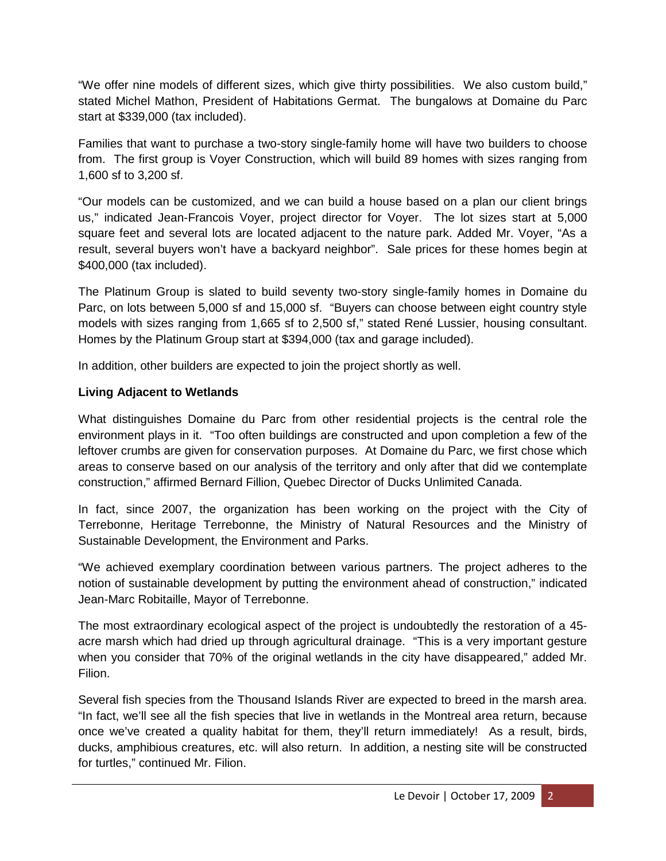"We offer nine models of different sizes, which give thirty possibilities. We also custom build," stated Michel Mathon, President of Habitations Germat. The bungalows at Domaine du Parc start at \$339,000 (tax included).

Families that want to purchase a two-story single-family home will have two builders to choose from. The first group is Voyer Construction, which will build 89 homes with sizes ranging from 1,600 sf to 3,200 sf.

"Our models can be customized, and we can build a house based on a plan our client brings us," indicated Jean-Francois Voyer, project director for Voyer. The lot sizes start at 5,000 square feet and several lots are located adjacent to the nature park. Added Mr. Voyer, "As a result, several buyers won't have a backyard neighbor". Sale prices for these homes begin at \$400,000 (tax included).

The Platinum Group is slated to build seventy two-story single-family homes in Domaine du Parc, on lots between 5,000 sf and 15,000 sf. "Buyers can choose between eight country style models with sizes ranging from 1,665 sf to 2,500 sf," stated René Lussier, housing consultant. Homes by the Platinum Group start at \$394,000 (tax and garage included).

In addition, other builders are expected to join the project shortly as well.

## **Living Adjacent to Wetlands**

What distinguishes Domaine du Parc from other residential projects is the central role the environment plays in it. "Too often buildings are constructed and upon completion a few of the leftover crumbs are given for conservation purposes. At Domaine du Parc, we first chose which areas to conserve based on our analysis of the territory and only after that did we contemplate construction," affirmed Bernard Fillion, Quebec Director of Ducks Unlimited Canada.

In fact, since 2007, the organization has been working on the project with the City of Terrebonne, Heritage Terrebonne, the Ministry of Natural Resources and the Ministry of Sustainable Development, the Environment and Parks.

"We achieved exemplary coordination between various partners. The project adheres to the notion of sustainable development by putting the environment ahead of construction," indicated Jean-Marc Robitaille, Mayor of Terrebonne.

The most extraordinary ecological aspect of the project is undoubtedly the restoration of a 45 acre marsh which had dried up through agricultural drainage. "This is a very important gesture when you consider that 70% of the original wetlands in the city have disappeared," added Mr. Filion.

Several fish species from the Thousand Islands River are expected to breed in the marsh area. "In fact, we'll see all the fish species that live in wetlands in the Montreal area return, because once we've created a quality habitat for them, they'll return immediately! As a result, birds, ducks, amphibious creatures, etc. will also return. In addition, a nesting site will be constructed for turtles," continued Mr. Filion.